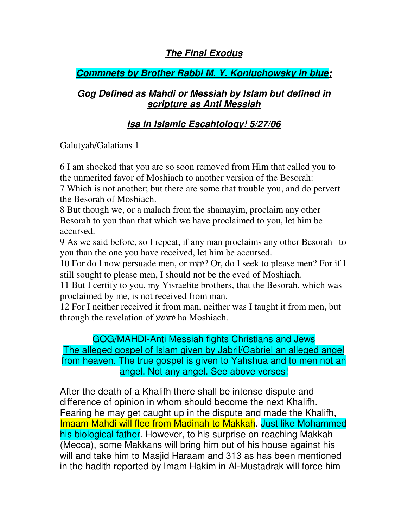### **The Final Exodus**

## **Commnets by Brother Rabbi M. Y. Koniuchowsky in blue;**

### **Gog Defined as Mahdi or Messiah by Islam but defined in scripture as Anti Messiah**

# **Isa in Islamic Escahtology! 5/27/06**

Galutyah/Galatians 1

6 I am shocked that you are so soon removed from Him that called you to the unmerited favor of Moshiach to another version of the Besorah:

7 Which is not another; but there are some that trouble you, and do pervert the Besorah of Moshiach.

8 But though we, or a malach from the shamayim, proclaim any other Besorah to you than that which we have proclaimed to you, let him be accursed.

9 As we said before, so I repeat, if any man proclaims any other Besorah to you than the one you have received, let him be accursed.

10 For do I now persuade men, or *י*הוה? Or, do I seek to please men? For if I still sought to please men, I should not be the eved of Moshiach.

11 But I certify to you, my Yisraelite brothers, that the Besorah, which was proclaimed by me, is not received from man.

12 For I neither received it from man, neither was I taught it from men, but through the revelation of יהושע ha Moshiach.

#### GOG/MAHDI-Anti Messiah fights Christians and Jews

The alleged gospel of Islam given by Jabril/Gabriel an alleged angel from heaven. The true gospel is given to Yahshua and to men not an angel. Not any angel. See above verses!

After the death of a Khalifh there shall be intense dispute and difference of opinion in whom should become the next Khalifh. Fearing he may get caught up in the dispute and made the Khalifh, Imaam Mahdi will flee from Madinah to Makkah. Just like Mohammed his biological father. However, to his surprise on reaching Makkah (Mecca), some Makkans will bring him out of his house against his will and take him to Masjid Haraam and 313 as has been mentioned in the hadith reported by Imam Hakim in Al-Mustadrak will force him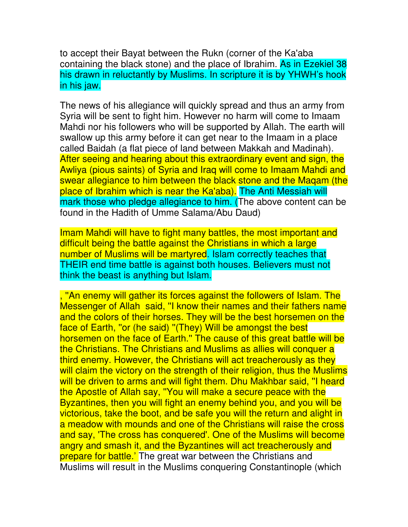to accept their Bayat between the Rukn (corner of the Ka'aba containing the black stone) and the place of Ibrahim. As in Ezekiel 38 his drawn in reluctantly by Muslims. In scripture it is by YHWH's hook in his jaw.

The news of his allegiance will quickly spread and thus an army from Syria will be sent to fight him. However no harm will come to Imaam Mahdi nor his followers who will be supported by Allah. The earth will swallow up this army before it can get near to the Imaam in a place called Baidah (a flat piece of land between Makkah and Madinah). After seeing and hearing about this extraordinary event and sign, the Awliya (pious saints) of Syria and Iraq will come to Imaam Mahdi and swear allegiance to him between the black stone and the Maqam (the place of Ibrahim which is near the Ka'aba). The Anti Messiah will mark those who pledge allegiance to him. (The above content can be found in the Hadith of Umme Salama/Abu Daud)

Imam Mahdi will have to fight many battles, the most important and difficult being the battle against the Christians in which a large number of Muslims will be martyred. Islam correctly teaches that THEIR end time battle is against both houses. Believers must not think the beast is anything but Islam.

, ''An enemy will gather its forces against the followers of Islam. The Messenger of Allah said, ''I know their names and their fathers name and the colors of their horses. They will be the best horsemen on the face of Earth, "or (he said) "(They) Will be amongst the best horsemen on the face of Earth." The cause of this great battle will be the Christians. The Christians and Muslims as allies will conquer a third enemy. However, the Christians will act treacherously as they will claim the victory on the strength of their religion, thus the Muslims will be driven to arms and will fight them. Dhu Makhbar said, ''I heard the Apostle of Allah say, ''You will make a secure peace with the Byzantines, then you will fight an enemy behind you, and you will be victorious, take the boot, and be safe you will the return and alight in a meadow with mounds and one of the Christians will raise the cross and say, 'The cross has conquered'. One of the Muslims will become angry and smash it, and the Byzantines will act treacherously and prepare for battle.' The great war between the Christians and Muslims will result in the Muslims conquering Constantinople (which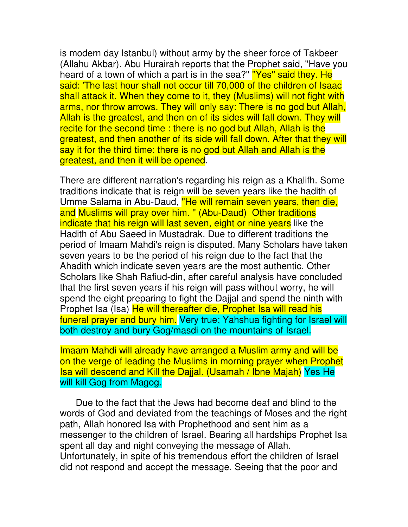is modern day Istanbul) without army by the sheer force of Takbeer (Allahu Akbar). Abu Hurairah reports that the Prophet said, ''Have you heard of a town of which a part is in the sea?" "Yes" said they. He said: 'The last hour shall not occur till 70,000 of the children of Isaac shall attack it. When they come to it, they (Muslims) will not fight with arms, nor throw arrows. They will only say: There is no god but Allah, Allah is the greatest, and then on of its sides will fall down. They will recite for the second time : there is no god but Allah, Allah is the greatest, and then another of its side will fall down. After that they will say it for the third time: there is no god but Allah and Allah is the greatest, and then it will be opened.

There are different narration's regarding his reign as a Khalifh. Some traditions indicate that is reign will be seven years like the hadith of Umme Salama in Abu-Daud, "He will remain seven years, then die, and Muslims will pray over him. '' (Abu-Daud) Other traditions indicate that his reign will last seven, eight or nine years like the Hadith of Abu Saeed in Mustadrak. Due to different traditions the period of Imaam Mahdi's reign is disputed. Many Scholars have taken seven years to be the period of his reign due to the fact that the Ahadith which indicate seven years are the most authentic. Other Scholars like Shah Rafiud-din, after careful analysis have concluded that the first seven years if his reign will pass without worry, he will spend the eight preparing to fight the Dajjal and spend the ninth with Prophet Isa (Isa) He will thereafter die, Prophet Isa will read his funeral prayer and bury him. Very true; Yahshua fighting for Israel will both destroy and bury Gog/masdi on the mountains of Israel.

Imaam Mahdi will already have arranged a Muslim army and will be on the verge of leading the Muslims in morning prayer when Prophet Isa will descend and Kill the Dajjal. (Usamah / Ibne Majah) Yes He will kill Gog from Magog.

 Due to the fact that the Jews had become deaf and blind to the words of God and deviated from the teachings of Moses and the right path, Allah honored Isa with Prophethood and sent him as a messenger to the children of Israel. Bearing all hardships Prophet Isa spent all day and night conveying the message of Allah. Unfortunately, in spite of his tremendous effort the children of Israel did not respond and accept the message. Seeing that the poor and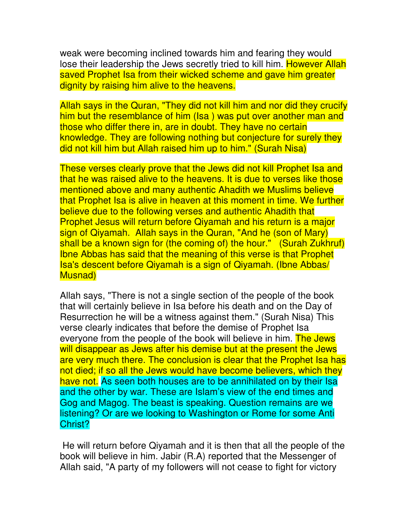weak were becoming inclined towards him and fearing they would lose their leadership the Jews secretly tried to kill him. However Allah saved Prophet Isa from their wicked scheme and gave him greater dignity by raising him alive to the heavens.

Allah says in the Quran, "They did not kill him and nor did they crucify him but the resemblance of him (Isa) was put over another man and those who differ there in, are in doubt. They have no certain knowledge. They are following nothing but conjecture for surely they did not kill him but Allah raised him up to him." (Surah Nisa)

These verses clearly prove that the Jews did not kill Prophet Isa and that he was raised alive to the heavens. It is due to verses like those mentioned above and many authentic Ahadith we Muslims believe that Prophet Isa is alive in heaven at this moment in time. We further believe due to the following verses and authentic Ahadith that Prophet Jesus will return before Qiyamah and his return is a major sign of Qiyamah. Allah says in the Quran, "And he (son of Mary) shall be a known sign for (the coming of) the hour." (Surah Zukhruf) Ibne Abbas has said that the meaning of this verse is that Prophet Isa's descent before Qiyamah is a sign of Qiyamah. (Ibne Abbas/ Musnad)

Allah says, "There is not a single section of the people of the book that will certainly believe in Isa before his death and on the Day of Resurrection he will be a witness against them." (Surah Nisa) This verse clearly indicates that before the demise of Prophet Isa everyone from the people of the book will believe in him. The Jews will disappear as Jews after his demise but at the present the Jews are very much there. The conclusion is clear that the Prophet Isa has not died; if so all the Jews would have become believers, which they have not. As seen both houses are to be annihilated on by their Isa and the other by war. These are Islam's view of the end times and Gog and Magog. The beast is speaking. Question remains are we listening? Or are we looking to Washington or Rome for some Anti Christ?

 He will return before Qiyamah and it is then that all the people of the book will believe in him. Jabir (R.A) reported that the Messenger of Allah said, "A party of my followers will not cease to fight for victory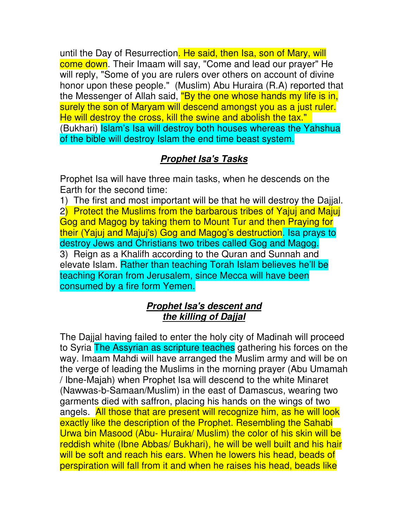until the Day of Resurrection. He said, then Isa, son of Mary, will come down. Their Imaam will say, "Come and lead our prayer" He will reply, "Some of you are rulers over others on account of divine honor upon these people." (Muslim) Abu Huraira (R.A) reported that the Messenger of Allah said, "By the one whose hands my life is in, surely the son of Maryam will descend amongst you as a just ruler. He will destroy the cross, kill the swine and abolish the tax." (Bukhari) Islam's Isa will destroy both houses whereas the Yahshua of the bible will destroy Islam the end time beast system.

# **Prophet Isa's Tasks**

Prophet Isa will have three main tasks, when he descends on the Earth for the second time:

1) The first and most important will be that he will destroy the Dajjal. 2) Protect the Muslims from the barbarous tribes of Yajuj and Majuj Gog and Magog by taking them to Mount Tur and then Praying for their (Yajuj and Majuj's) Gog and Magog's destruction. Isa prays to destroy Jews and Christians two tribes called Gog and Magog. 3) Reign as a Khalifh according to the Quran and Sunnah and elevate Islam. Rather than teaching Torah Islam believes he'll be teaching Koran from Jerusalem, since Mecca will have been consumed by a fire form Yemen.

#### **Prophet Isa's descent and the killing of Dajjal**

The Dajjal having failed to enter the holy city of Madinah will proceed to Syria The Assyrian as scripture teaches gathering his forces on the way. Imaam Mahdi will have arranged the Muslim army and will be on the verge of leading the Muslims in the morning prayer (Abu Umamah / Ibne-Majah) when Prophet Isa will descend to the white Minaret (Nawwas-b-Samaan/Muslim) in the east of Damascus, wearing two garments died with saffron, placing his hands on the wings of two angels. All those that are present will recognize him, as he will look exactly like the description of the Prophet. Resembling the Sahabi Urwa bin Masood (Abu- Huraira/ Muslim) the color of his skin will be reddish white (Ibne Abbas/ Bukhari), he will be well built and his hair will be soft and reach his ears. When he lowers his head, beads of perspiration will fall from it and when he raises his head, beads like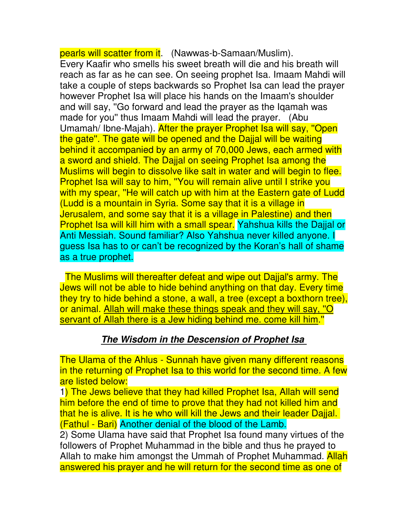pearls will scatter from it. (Nawwas-b-Samaan/Muslim). Every Kaafir who smells his sweet breath will die and his breath will reach as far as he can see. On seeing prophet Isa. Imaam Mahdi will take a couple of steps backwards so Prophet Isa can lead the prayer however Prophet Isa will place his hands on the Imaam's shoulder and will say, ''Go forward and lead the prayer as the Iqamah was made for you'' thus Imaam Mahdi will lead the prayer. (Abu Umamah/ Ibne-Majah). After the prayer Prophet Isa will say, ''Open the gate''. The gate will be opened and the Dajjal will be waiting behind it accompanied by an army of 70,000 Jews, each armed with a sword and shield. The Dajjal on seeing Prophet Isa among the Muslims will begin to dissolve like salt in water and will begin to flee. Prophet Isa will say to him, "You will remain alive until I strike you with my spear, "He will catch up with him at the Eastern gate of Ludd (Ludd is a mountain in Syria. Some say that it is a village in Jerusalem, and some say that it is a village in Palestine) and then Prophet Isa will kill him with a small spear. Yahshua kills the Dajjal or Anti Messiah. Sound familiar? Also Yahshua never killed anyone. I guess Isa has to or can't be recognized by the Koran's hall of shame as a true prophet.

 The Muslims will thereafter defeat and wipe out Dajjal's army. The Jews will not be able to hide behind anything on that day. Every time they try to hide behind a stone, a wall, a tree (except a boxthorn tree), or animal. Allah will make these things speak and they will say, ''O servant of Allah there is a Jew hiding behind me. come kill him."

#### **The Wisdom in the Descension of Prophet Isa**

The Ulama of the Ahlus - Sunnah have given many different reasons in the returning of Prophet Isa to this world for the second time. A few are listed below:

1) The Jews believe that they had killed Prophet Isa, Allah will send him before the end of time to prove that they had not killed him and that he is alive. It is he who will kill the Jews and their leader Dajjal. (Fathul - Bari) Another denial of the blood of the Lamb.

2) Some Ulama have said that Prophet Isa found many virtues of the followers of Prophet Muhammad in the bible and thus he prayed to Allah to make him amongst the Ummah of Prophet Muhammad. Allah answered his prayer and he will return for the second time as one of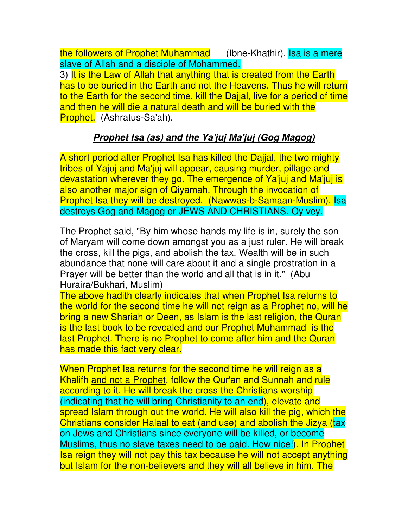the followers of Prophet Muhammad (Ibne-Khathir). Isa is a mere slave of Allah and a disciple of Mohammed.

3) It is the Law of Allah that anything that is created from the Earth has to be buried in the Earth and not the Heavens. Thus he will return to the Earth for the second time, kill the Dajjal, live for a period of time and then he will die a natural death and will be buried with the Prophet. (Ashratus-Sa'ah).

### **Prophet Isa (as) and the Ya'juj Ma'juj (Gog Magog)**

A short period after Prophet Isa has killed the Dajjal, the two mighty tribes of Yajuj and Ma'juj will appear, causing murder, pillage and devastation wherever they go. The emergence of Ya'juj and Ma'juj is also another major sign of Qiyamah. Through the invocation of Prophet Isa they will be destroyed. (Nawwas-b-Samaan-Muslim). Isa destroys Gog and Magog or JEWS AND CHRISTIANS. Oy vey.

The Prophet said, "By him whose hands my life is in, surely the son of Maryam will come down amongst you as a just ruler. He will break the cross, kill the pigs, and abolish the tax. Wealth will be in such abundance that none will care about it and a single prostration in a Prayer will be better than the world and all that is in it." (Abu Huraira/Bukhari, Muslim)

The above hadith clearly indicates that when Prophet Isa returns to the world for the second time he will not reign as a Prophet no, will he bring a new Shariah or Deen, as Islam is the last religion, the Quran is the last book to be revealed and our Prophet Muhammad is the last Prophet. There is no Prophet to come after him and the Quran has made this fact very clear.

When Prophet Isa returns for the second time he will reign as a Khalifh and not a Prophet, follow the Qur'an and Sunnah and rule according to it. He will break the cross the Christians worship (indicating that he will bring Christianity to an end), elevate and spread Islam through out the world. He will also kill the pig, which the Christians consider Halaal to eat (and use) and abolish the Jizya (tax on Jews and Christians since everyone will be killed, or become Muslims, thus no slave taxes need to be paid. How nice!). In Prophet Isa reign they will not pay this tax because he will not accept anything but Islam for the non-believers and they will all believe in him. The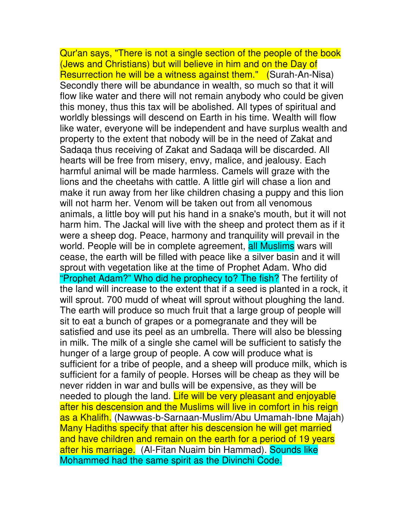Qur'an says, "There is not a single section of the people of the book (Jews and Christians) but will believe in him and on the Day of Resurrection he will be a witness against them." (Surah-An-Nisa) Secondly there will be abundance in wealth, so much so that it will flow like water and there will not remain anybody who could be given this money, thus this tax will be abolished. All types of spiritual and worldly blessings will descend on Earth in his time. Wealth will flow like water, everyone will be independent and have surplus wealth and property to the extent that nobody will be in the need of Zakat and Sadaqa thus receiving of Zakat and Sadaqa will be discarded. All hearts will be free from misery, envy, malice, and jealousy. Each harmful animal will be made harmless. Camels will graze with the lions and the cheetahs with cattle. A little girl will chase a lion and make it run away from her like children chasing a puppy and this lion will not harm her. Venom will be taken out from all venomous animals, a little boy will put his hand in a snake's mouth, but it will not harm him. The Jackal will live with the sheep and protect them as if it were a sheep dog. Peace, harmony and tranquility will prevail in the world. People will be in complete agreement, all Muslims wars will cease, the earth will be filled with peace like a silver basin and it will sprout with vegetation like at the time of Prophet Adam. Who did "Prophet Adam?" Who did he prophecy to? The fish? The fertility of the land will increase to the extent that if a seed is planted in a rock, it will sprout. 700 mudd of wheat will sprout without ploughing the land. The earth will produce so much fruit that a large group of people will sit to eat a bunch of grapes or a pomegranate and they will be satisfied and use its peel as an umbrella. There will also be blessing in milk. The milk of a single she camel will be sufficient to satisfy the hunger of a large group of people. A cow will produce what is sufficient for a tribe of people, and a sheep will produce milk, which is sufficient for a family of people. Horses will be cheap as they will be never ridden in war and bulls will be expensive, as they will be needed to plough the land. Life will be very pleasant and enjoyable after his descension and the Muslims will live in comfort in his reign as a Khalifh. (Nawwas-b-Sarnaan-Muslim/Abu Umamah-Ibne Majah) Many Hadiths specify that after his descension he will get married and have children and remain on the earth for a period of 19 years after his marriage. (Al-Fitan Nuaim bin Hammad). Sounds like Mohammed had the same spirit as the Divinchi Code.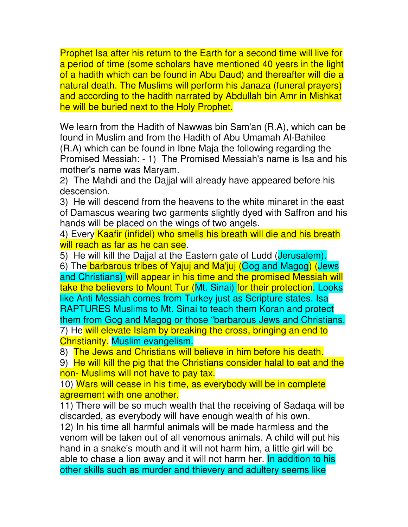Prophet Isa after his return to the Earth for a second time will live for a period of time (some scholars have mentioned 40 years in the light of a hadith which can be found in Abu Daud) and thereafter will die a natural death. The Muslims will perform his Janaza (funeral prayers) and according to the hadith narrated by Abdullah bin Amr in Mishkat he will be buried next to the Holy Prophet.

We learn from the Hadith of Nawwas bin Sam'an (R.A), which can be found in Muslim and from the Hadith of Abu Umamah Al-Bahilee (R.A) which can be found in Ibne Maja the following regarding the Promised Messiah: - 1) The Promised Messiah's name is Isa and his mother's name was Maryam.

2) The Mahdi and the Dajjal will already have appeared before his descension.

3) He will descend from the heavens to the white minaret in the east of Damascus wearing two garments slightly dyed with Saffron and his hands will be placed on the wings of two angels.

4) Every Kaafir (infidel) who smells his breath will die and his breath will reach as far as he can see.

5) He will kill the Dajjal at the Eastern gate of Ludd (Jerusalem).

6) The barbarous tribes of Yajuj and Ma'juj (Gog and Magog) (Jews and Christians) will appear in his time and the promised Messiah will take the believers to Mount Tur (Mt. Sinai) for their protection. Looks like Anti Messiah comes from Turkey just as Scripture states. Isa RAPTURES Muslims to Mt. Sinai to teach them Koran and protect them from Gog and Magog or those "barbarous Jews and Christians. 7) He will elevate Islam by breaking the cross, bringing an end to Christianity. Muslim evangelism.

8) The Jews and Christians will believe in him before his death.

9) He will kill the pig that the Christians consider halal to eat and the non- Muslims will not have to pay tax.

10) Wars will cease in his time, as everybody will be in complete agreement with one another.

11) There will be so much wealth that the receiving of Sadaqa will be discarded, as everybody will have enough wealth of his own.

12) In his time all harmful animals will be made harmless and the venom will be taken out of all venomous animals. A child will put his hand in a snake's mouth and it will not harm him, a little girl will be able to chase a lion away and it will not harm her. In addition to his other skills such as murder and thievery and adultery seems like